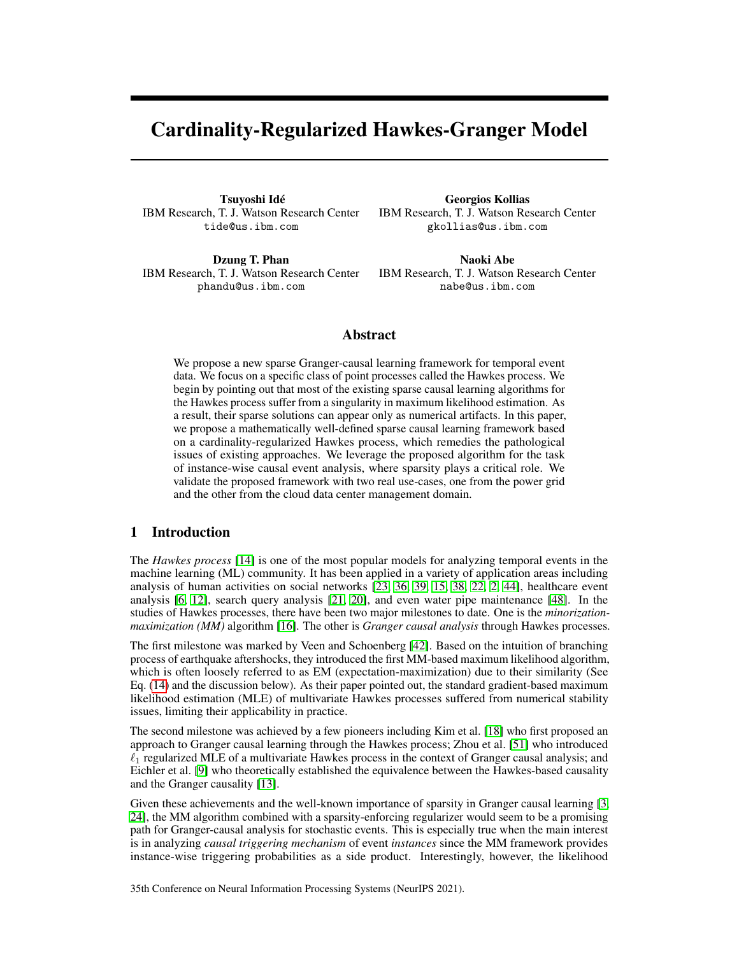# Cardinality-Regularized Hawkes-Granger Model

Tsuyoshi Idé IBM Research, T. J. Watson Research Center tide@us.ibm.com

Georgios Kollias IBM Research, T. J. Watson Research Center gkollias@us.ibm.com

Dzung T. Phan IBM Research, T. J. Watson Research Center phandu@us.ibm.com

Naoki Abe IBM Research, T. J. Watson Research Center nabe@us.ibm.com

# Abstract

We propose a new sparse Granger-causal learning framework for temporal event data. We focus on a specific class of point processes called the Hawkes process. We begin by pointing out that most of the existing sparse causal learning algorithms for the Hawkes process suffer from a singularity in maximum likelihood estimation. As a result, their sparse solutions can appear only as numerical artifacts. In this paper, we propose a mathematically well-defined sparse causal learning framework based on a cardinality-regularized Hawkes process, which remedies the pathological issues of existing approaches. We leverage the proposed algorithm for the task of instance-wise causal event analysis, where sparsity plays a critical role. We validate the proposed framework with two real use-cases, one from the power grid and the other from the cloud data center management domain.

# 1 Introduction

The *Hawkes process* [\[14\]](#page-10-0) is one of the most popular models for analyzing temporal events in the machine learning (ML) community. It has been applied in a variety of application areas including analysis of human activities on social networks [\[23,](#page-11-0) [36,](#page-11-1) [39,](#page-12-0) [15,](#page-10-1) [38,](#page-11-2) [22,](#page-11-3) [2,](#page-10-2) [44\]](#page-12-1), healthcare event analysis [\[6,](#page-10-3) [12\]](#page-10-4), search query analysis [\[21,](#page-11-4) [20\]](#page-11-5), and even water pipe maintenance [\[48\]](#page-12-2). In the studies of Hawkes processes, there have been two major milestones to date. One is the *minorizationmaximization (MM)* algorithm [\[16\]](#page-10-5). The other is *Granger causal analysis* through Hawkes processes.

The first milestone was marked by Veen and Schoenberg [\[42\]](#page-12-3). Based on the intuition of branching process of earthquake aftershocks, they introduced the first MM-based maximum likelihood algorithm, which is often loosely referred to as EM (expectation-maximization) due to their similarity (See Eq. [\(14\)](#page-5-0) and the discussion below). As their paper pointed out, the standard gradient-based maximum likelihood estimation (MLE) of multivariate Hawkes processes suffered from numerical stability issues, limiting their applicability in practice.

The second milestone was achieved by a few pioneers including Kim et al. [\[18\]](#page-10-6) who first proposed an approach to Granger causal learning through the Hawkes process; Zhou et al. [\[51\]](#page-12-4) who introduced  $\ell_1$  regularized MLE of a multivariate Hawkes process in the context of Granger causal analysis; and Eichler et al. [\[9\]](#page-10-7) who theoretically established the equivalence between the Hawkes-based causality and the Granger causality [\[13\]](#page-10-8).

Given these achievements and the well-known importance of sparsity in Granger causal learning [\[3,](#page-10-9) [24\]](#page-11-6), the MM algorithm combined with a sparsity-enforcing regularizer would seem to be a promising path for Granger-causal analysis for stochastic events. This is especially true when the main interest is in analyzing *causal triggering mechanism* of event *instances* since the MM framework provides instance-wise triggering probabilities as a side product. Interestingly, however, the likelihood

35th Conference on Neural Information Processing Systems (NeurIPS 2021).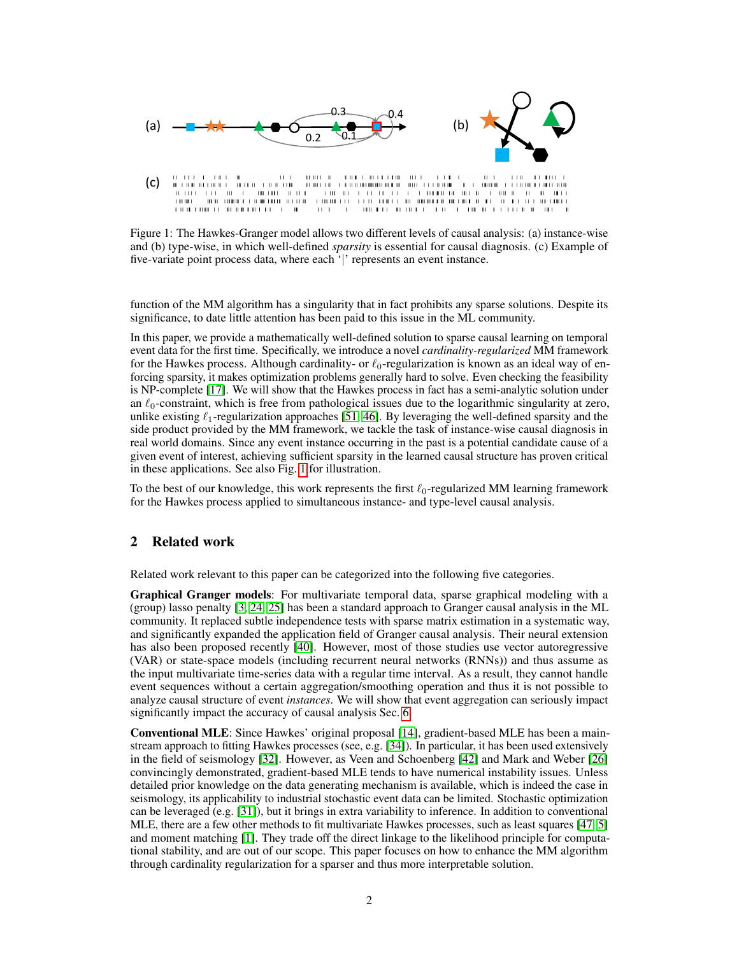

<span id="page-1-0"></span>Figure 1: The Hawkes-Granger model allows two different levels of causal analysis: (a) instance-wise and (b) type-wise, in which well-defined *sparsity* is essential for causal diagnosis. (c) Example of five-variate point process data, where each '|' represents an event instance.

function of the MM algorithm has a singularity that in fact prohibits any sparse solutions. Despite its significance, to date little attention has been paid to this issue in the ML community.

In this paper, we provide a mathematically well-defined solution to sparse causal learning on temporal event data for the first time. Specifically, we introduce a novel *cardinality-regularized* MM framework for the Hawkes process. Although cardinality- or  $\ell_0$ -regularization is known as an ideal way of enforcing sparsity, it makes optimization problems generally hard to solve. Even checking the feasibility is NP-complete [\[17\]](#page-10-10). We will show that the Hawkes process in fact has a semi-analytic solution under an  $\ell_0$ -constraint, which is free from pathological issues due to the logarithmic singularity at zero, unlike existing  $\ell_1$ -regularization approaches [\[51,](#page-12-4) [46\]](#page-12-5). By leveraging the well-defined sparsity and the side product provided by the MM framework, we tackle the task of instance-wise causal diagnosis in real world domains. Since any event instance occurring in the past is a potential candidate cause of a given event of interest, achieving sufficient sparsity in the learned causal structure has proven critical in these applications. See also Fig. [1](#page-1-0) for illustration.

To the best of our knowledge, this work represents the first  $\ell_0$ -regularized MM learning framework for the Hawkes process applied to simultaneous instance- and type-level causal analysis.

# 2 Related work

Related work relevant to this paper can be categorized into the following five categories.

Graphical Granger models: For multivariate temporal data, sparse graphical modeling with a (group) lasso penalty [\[3,](#page-10-9) [24,](#page-11-6) [25\]](#page-11-7) has been a standard approach to Granger causal analysis in the ML community. It replaced subtle independence tests with sparse matrix estimation in a systematic way, and significantly expanded the application field of Granger causal analysis. Their neural extension has also been proposed recently [\[40\]](#page-12-6). However, most of those studies use vector autoregressive (VAR) or state-space models (including recurrent neural networks (RNNs)) and thus assume as the input multivariate time-series data with a regular time interval. As a result, they cannot handle event sequences without a certain aggregation/smoothing operation and thus it is not possible to analyze causal structure of event *instances*. We will show that event aggregation can seriously impact significantly impact the accuracy of causal analysis Sec. [6.](#page-7-0)

Conventional MLE: Since Hawkes' original proposal [\[14\]](#page-10-0), gradient-based MLE has been a mainstream approach to fitting Hawkes processes (see, e.g. [\[34\]](#page-11-8)). In particular, it has been used extensively in the field of seismology [\[32\]](#page-11-9). However, as Veen and Schoenberg [\[42\]](#page-12-3) and Mark and Weber [\[26\]](#page-11-10) convincingly demonstrated, gradient-based MLE tends to have numerical instability issues. Unless detailed prior knowledge on the data generating mechanism is available, which is indeed the case in seismology, its applicability to industrial stochastic event data can be limited. Stochastic optimization can be leveraged (e.g. [\[31\]](#page-11-11)), but it brings in extra variability to inference. In addition to conventional MLE, there are a few other methods to fit multivariate Hawkes processes, such as least squares [\[47,](#page-12-7) [5\]](#page-10-11) and moment matching [\[1\]](#page-9-0). They trade off the direct linkage to the likelihood principle for computational stability, and are out of our scope. This paper focuses on how to enhance the MM algorithm through cardinality regularization for a sparser and thus more interpretable solution.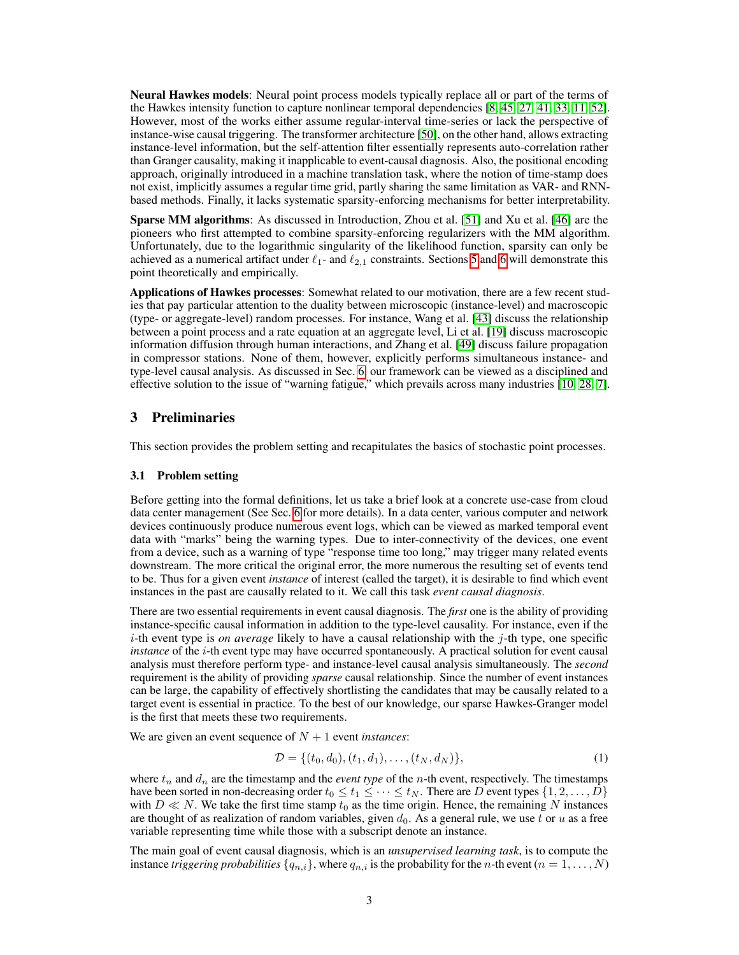Neural Hawkes models: Neural point process models typically replace all or part of the terms of the Hawkes intensity function to capture nonlinear temporal dependencies [\[8,](#page-10-12) [45,](#page-12-8) [27,](#page-11-12) [41,](#page-12-9) [33,](#page-11-13) [11,](#page-10-13) [52\]](#page-12-10). However, most of the works either assume regular-interval time-series or lack the perspective of instance-wise causal triggering. The transformer architecture [\[50\]](#page-12-11), on the other hand, allows extracting instance-level information, but the self-attention filter essentially represents auto-correlation rather than Granger causality, making it inapplicable to event-causal diagnosis. Also, the positional encoding approach, originally introduced in a machine translation task, where the notion of time-stamp does not exist, implicitly assumes a regular time grid, partly sharing the same limitation as VAR- and RNNbased methods. Finally, it lacks systematic sparsity-enforcing mechanisms for better interpretability.

Sparse MM algorithms: As discussed in Introduction, Zhou et al. [\[51\]](#page-12-4) and Xu et al. [\[46\]](#page-12-5) are the pioneers who first attempted to combine sparsity-enforcing regularizers with the MM algorithm. Unfortunately, due to the logarithmic singularity of the likelihood function, sparsity can only be achieved as a numerical artifact under  $\ell_{1}$ - and  $\ell_{2,1}$  constraints. Sections [5](#page-5-1) and [6](#page-7-0) will demonstrate this point theoretically and empirically.

Applications of Hawkes processes: Somewhat related to our motivation, there are a few recent studies that pay particular attention to the duality between microscopic (instance-level) and macroscopic (type- or aggregate-level) random processes. For instance, Wang et al. [\[43\]](#page-12-12) discuss the relationship between a point process and a rate equation at an aggregate level, Li et al. [\[19\]](#page-10-14) discuss macroscopic information diffusion through human interactions, and Zhang et al. [\[49\]](#page-12-13) discuss failure propagation in compressor stations. None of them, however, explicitly performs simultaneous instance- and type-level causal analysis. As discussed in Sec. [6,](#page-7-0) our framework can be viewed as a disciplined and effective solution to the issue of "warning fatigue," which prevails across many industries [\[10,](#page-10-15) [28,](#page-11-14) [7\]](#page-10-16).

# 3 Preliminaries

This section provides the problem setting and recapitulates the basics of stochastic point processes.

## 3.1 Problem setting

Before getting into the formal definitions, let us take a brief look at a concrete use-case from cloud data center management (See Sec. [6](#page-7-0) for more details). In a data center, various computer and network devices continuously produce numerous event logs, which can be viewed as marked temporal event data with "marks" being the warning types. Due to inter-connectivity of the devices, one event from a device, such as a warning of type "response time too long," may trigger many related events downstream. The more critical the original error, the more numerous the resulting set of events tend to be. Thus for a given event *instance* of interest (called the target), it is desirable to find which event instances in the past are causally related to it. We call this task *event causal diagnosis*.

There are two essential requirements in event causal diagnosis. The *first* one is the ability of providing instance-specific causal information in addition to the type-level causality. For instance, even if the i-th event type is *on average* likely to have a causal relationship with the j-th type, one specific *instance* of the *i*-th event type may have occurred spontaneously. A practical solution for event causal analysis must therefore perform type- and instance-level causal analysis simultaneously. The *second* requirement is the ability of providing *sparse* causal relationship. Since the number of event instances can be large, the capability of effectively shortlisting the candidates that may be causally related to a target event is essential in practice. To the best of our knowledge, our sparse Hawkes-Granger model is the first that meets these two requirements.

We are given an event sequence of  $N + 1$  event *instances*:

$$
\mathcal{D} = \{ (t_0, d_0), (t_1, d_1), \dots, (t_N, d_N) \},\tag{1}
$$

where  $t_n$  and  $d_n$  are the timestamp and the *event type* of the *n*-th event, respectively. The timestamps have been sorted in non-decreasing order  $t_0 \le t_1 \le \cdots \le t_N$ . There are D event types  $\{1, 2, \ldots, D\}$ with  $D \ll N$ . We take the first time stamp  $t_0$  as the time origin. Hence, the remaining N instances are thought of as realization of random variables, given  $d_0$ . As a general rule, we use t or u as a free variable representing time while those with a subscript denote an instance.

The main goal of event causal diagnosis, which is an *unsupervised learning task*, is to compute the instance *triggering probabilities*  $\{q_{n,i}\}$ , where  $q_{n,i}$  is the probability for the *n*-th event  $(n = 1, \ldots, N)$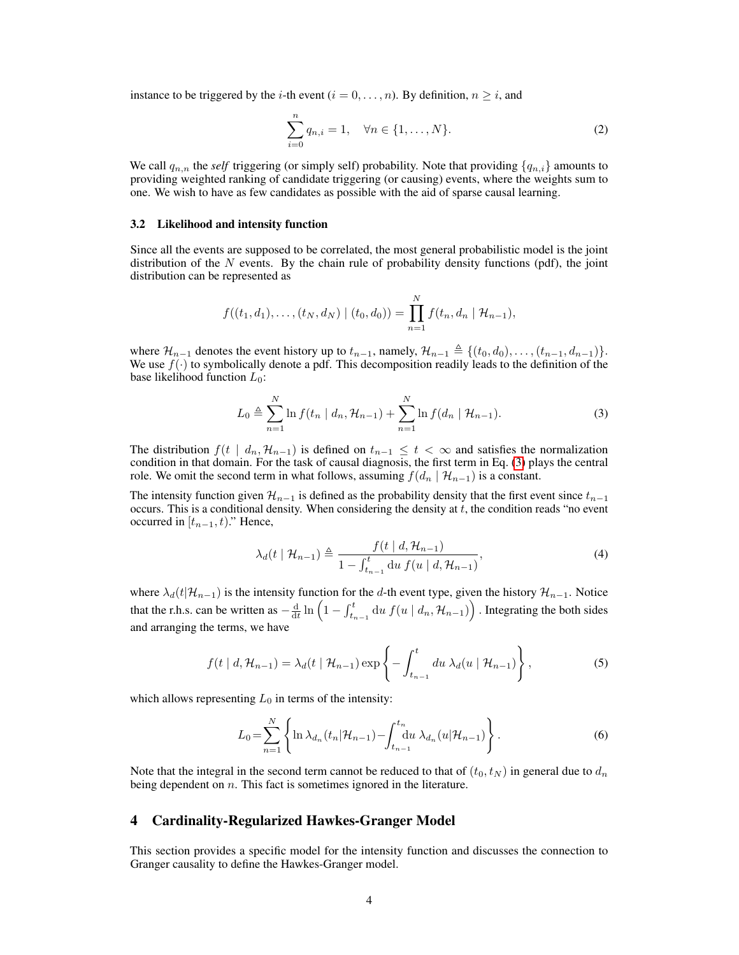instance to be triggered by the *i*-th event ( $i = 0, \ldots, n$ ). By definition,  $n \geq i$ , and

$$
\sum_{i=0}^{n} q_{n,i} = 1, \quad \forall n \in \{1, \dots, N\}.
$$
 (2)

We call  $q_{n,n}$  the *self* triggering (or simply self) probability. Note that providing  $\{q_{n,i}\}$  amounts to providing weighted ranking of candidate triggering (or causing) events, where the weights sum to one. We wish to have as few candidates as possible with the aid of sparse causal learning.

#### 3.2 Likelihood and intensity function

Since all the events are supposed to be correlated, the most general probabilistic model is the joint distribution of the  $N$  events. By the chain rule of probability density functions (pdf), the joint distribution can be represented as

$$
f((t_1, d_1), \ldots, (t_N, d_N) \mid (t_0, d_0)) = \prod_{n=1}^N f(t_n, d_n \mid \mathcal{H}_{n-1}),
$$

where  $\mathcal{H}_{n-1}$  denotes the event history up to  $t_{n-1}$ , namely,  $\mathcal{H}_{n-1} \triangleq \{(t_0, d_0), \ldots, (t_{n-1}, d_{n-1})\}.$ We use  $f(\cdot)$  to symbolically denote a pdf. This decomposition readily leads to the definition of the base likelihood function  $L_0$ :

<span id="page-3-0"></span>
$$
L_0 \triangleq \sum_{n=1}^{N} \ln f(t_n \mid d_n, \mathcal{H}_{n-1}) + \sum_{n=1}^{N} \ln f(d_n \mid \mathcal{H}_{n-1}).
$$
 (3)

The distribution  $f(t \mid d_n, \mathcal{H}_{n-1})$  is defined on  $t_{n-1} \leq t < \infty$  and satisfies the normalization condition in that domain. For the task of causal diagnosis, the first term in Eq. [\(3\)](#page-3-0) plays the central role. We omit the second term in what follows, assuming  $f(d_n | \mathcal{H}_{n-1})$  is a constant.

The intensity function given  $\mathcal{H}_{n-1}$  is defined as the probability density that the first event since  $t_{n-1}$ occurs. This is a conditional density. When considering the density at  $t$ , the condition reads "no event" occurred in  $[t_{n-1}, t]$ ." Hence,

$$
\lambda_d(t \mid \mathcal{H}_{n-1}) \triangleq \frac{f(t \mid d, \mathcal{H}_{n-1})}{1 - \int_{t_{n-1}}^t du f(u \mid d, \mathcal{H}_{n-1})},\tag{4}
$$

where  $\lambda_d(t|\mathcal{H}_{n-1})$  is the intensity function for the d-th event type, given the history  $\mathcal{H}_{n-1}$ . Notice that the r.h.s. can be written as  $-\frac{d}{dt} \ln \left(1 - \int_{t_{n-1}}^t \mathrm{d}u \, f(u \mid d_n, \mathcal{H}_{n-1})\right)$ . Integrating the both sides and arranging the terms, we have

$$
f(t | d, \mathcal{H}_{n-1}) = \lambda_d(t | \mathcal{H}_{n-1}) \exp\left\{-\int_{t_{n-1}}^t du \lambda_d(u | \mathcal{H}_{n-1})\right\},\tag{5}
$$

which allows representing  $L_0$  in terms of the intensity:

<span id="page-3-1"></span>
$$
L_0 = \sum_{n=1}^{N} \left\{ \ln \lambda_{d_n}(t_n | \mathcal{H}_{n-1}) - \int_{t_{n-1}}^{t_n} du \ \lambda_{d_n}(u | \mathcal{H}_{n-1}) \right\}.
$$
 (6)

Note that the integral in the second term cannot be reduced to that of  $(t_0, t_N)$  in general due to  $d_n$ being dependent on *n*. This fact is sometimes ignored in the literature.

## 4 Cardinality-Regularized Hawkes-Granger Model

This section provides a specific model for the intensity function and discusses the connection to Granger causality to define the Hawkes-Granger model.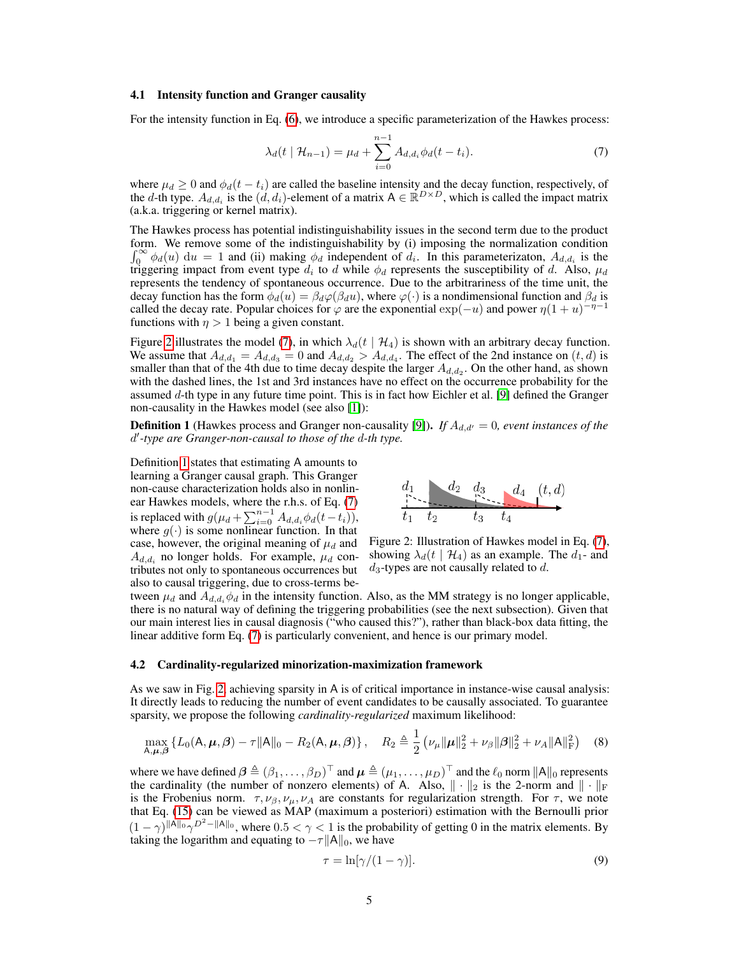#### 4.1 Intensity function and Granger causality

For the intensity function in Eq. [\(6\)](#page-3-1), we introduce a specific parameterization of the Hawkes process:

<span id="page-4-1"></span>
$$
\lambda_d(t \mid \mathcal{H}_{n-1}) = \mu_d + \sum_{i=0}^{n-1} A_{d,d_i} \phi_d(t - t_i).
$$
 (7)

where  $\mu_d \geq 0$  and  $\phi_d(t - t_i)$  are called the baseline intensity and the decay function, respectively, of the d-th type.  $A_{d,d_i}$  is the  $(d,d_i)$ -element of a matrix  $A \in \mathbb{R}^{D \times D}$ , which is called the impact matrix (a.k.a. triggering or kernel matrix).

The Hawkes process has potential indistinguishability issues in the second term due to the product form. We remove some of the indistinguishability by (i) imposing the normalization condition  $\int_0^\infty \phi_d(u) \, \mathrm{d}u = 1$  and (ii) making  $\phi_d$  independent of  $d_i$ . In this parameterizaton,  $A_{d,d_i}$  is the triggering impact from event type  $d_i$  to d while  $\phi_d$  represents the susceptibility of d. Also,  $\mu_d$ represents the tendency of spontaneous occurrence. Due to the arbitrariness of the time unit, the decay function has the form  $\phi_d(u) = \beta_d \varphi(\beta_d u)$ , where  $\varphi(\cdot)$  is a nondimensional function and  $\beta_d$  is called the decay rate. Popular choices for  $\varphi$  are the exponential  $\exp(-u)$  and power  $\eta(1+u)^{-\eta-1}$ functions with  $\eta > 1$  being a given constant.

Figure [2](#page-4-0) illustrates the model [\(7\)](#page-4-1), in which  $\lambda_d(t \mid \mathcal{H}_4)$  is shown with an arbitrary decay function. We assume that  $A_{d,d_1} = A_{d,d_3} = 0$  and  $A_{d,d_2} > A_{d,d_4}$ . The effect of the 2nd instance on  $(t, d)$  is smaller than that of the 4th due to time decay despite the larger  $A_{d,d_2}$ . On the other hand, as shown with the dashed lines, the 1st and 3rd instances have no effect on the occurrence probability for the assumed d-th type in any future time point. This is in fact how Eichler et al. [\[9\]](#page-10-7) defined the Granger non-causality in the Hawkes model (see also [\[1\]](#page-9-0)):

<span id="page-4-2"></span>**Definition 1** (Hawkes process and Granger non-causality [\[9\]](#page-10-7)). *If*  $A_{d,d'} = 0$ , event instances of the d 0 *-type are Granger-non-causal to those of the* d*-th type.*

Definition [1](#page-4-2) states that estimating A amounts to learning a Granger causal graph. This Granger non-cause characterization holds also in nonlinear Hawkes models, where the r.h.s. of Eq. [\(7\)](#page-4-1) is replaced with  $g(\mu_d + \sum_{i=0}^{n-1} A_{d,d_i} \phi_d(t-t_i)),$ where  $g(\cdot)$  is some nonlinear function. In that case, however, the original meaning of  $\mu_d$  and  $A_{d,d_i}$  no longer holds. For example,  $\mu_d$  contributes not only to spontaneous occurrences but also to causal triggering, due to cross-terms be-

<span id="page-4-0"></span>

<span id="page-4-3"></span>Figure 2: Illustration of Hawkes model in Eq. [\(7\)](#page-4-1), showing  $\lambda_d(t \mid \mathcal{H}_4)$  as an example. The  $d_1$ - and  $d_3$ -types are not causally related to  $d$ .

tween  $\mu_d$  and  $A_{d,d}$ ,  $\phi_d$  in the intensity function. Also, as the MM strategy is no longer applicable, there is no natural way of defining the triggering probabilities (see the next subsection). Given that our main interest lies in causal diagnosis ("who caused this?"), rather than black-box data fitting, the linear additive form Eq. [\(7\)](#page-4-1) is particularly convenient, and hence is our primary model.

#### 4.2 Cardinality-regularized minorization-maximization framework

As we saw in Fig. [2,](#page-4-0) achieving sparsity in A is of critical importance in instance-wise causal analysis: It directly leads to reducing the number of event candidates to be causally associated. To guarantee sparsity, we propose the following *cardinality-regularized* maximum likelihood:

$$
\max_{\mathsf{A},\pmb{\mu},\pmb{\beta}} \left\{ L_0(\mathsf{A},\pmb{\mu},\pmb{\beta}) - \tau \|\mathsf{A}\|_0 - R_2(\mathsf{A},\pmb{\mu},\pmb{\beta}) \right\}, \quad R_2 \triangleq \frac{1}{2} \left( \nu_{\mu} \|\pmb{\mu}\|_2^2 + \nu_{\beta} \|\pmb{\beta}\|_2^2 + \nu_A \|\mathsf{A}\|_{\text{F}}^2 \right) \tag{8}
$$

where we have defined  $\bm{\beta} \triangleq (\beta_1, \ldots, \beta_D)^\top$  and  $\bm{\mu} \triangleq (\mu_1, \ldots, \mu_D)^\top$  and the  $\ell_0$  norm  $\|A\|_0$  represents the cardinality (the number of nonzero elements) of A. Also,  $\|\cdot\|_2$  is the 2-norm and  $\|\cdot\|_{\text{F}}$ is the Frobenius norm.  $\tau, \nu_{\beta}, \nu_{\mu}, \nu_{A}$  are constants for regularization strength. For  $\tau$ , we note that Eq. [\(15\)](#page-5-2) can be viewed as MAP (maximum a posteriori) estimation with the Bernoulli prior  $(1 - \gamma)^{||A||_0} \gamma^{D^2 - ||A||_0}$ , where  $0.5 < \gamma < 1$  is the probability of getting 0 in the matrix elements. By taking the logarithm and equating to  $-\tau ||A||_0$ , we have

<span id="page-4-4"></span>
$$
\tau = \ln[\gamma/(1-\gamma)].\tag{9}
$$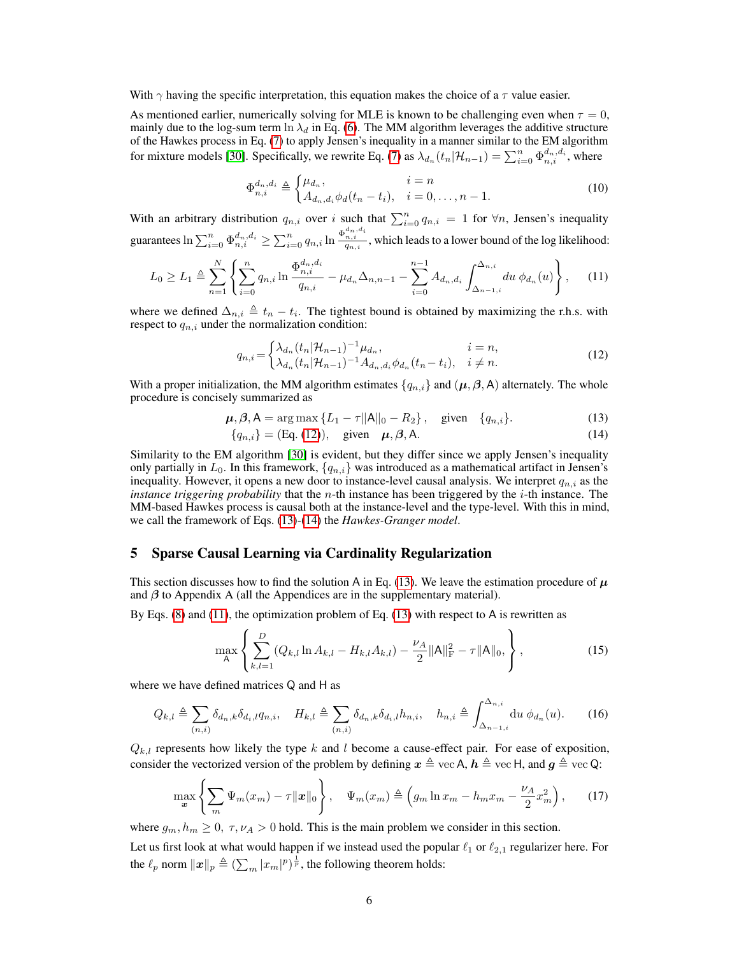With  $\gamma$  having the specific interpretation, this equation makes the choice of a  $\tau$  value easier.

As mentioned earlier, numerically solving for MLE is known to be challenging even when  $\tau = 0$ , mainly due to the log-sum term ln  $\lambda_d$  in Eq. [\(6\)](#page-3-1). The MM algorithm leverages the additive structure of the Hawkes process in Eq. [\(7\)](#page-4-1) to apply Jensen's inequality in a manner similar to the EM algorithm for mixture models [\[30\]](#page-11-15). Specifically, we rewrite Eq. [\(7\)](#page-4-1) as  $\lambda_{d_n}(t_n|\mathcal{H}_{n-1}) = \sum_{i=0}^n \Phi_{n,i}^{d_n,d_i}$ , where

<span id="page-5-5"></span>
$$
\Phi_{n,i}^{d_n, d_i} \triangleq \begin{cases} \mu_{d_n}, & i = n \\ A_{d_n, d_i} \phi_d(t_n - t_i), & i = 0, \dots, n - 1. \end{cases}
$$
(10)

With an arbitrary distribution  $q_{n,i}$  over i such that  $\sum_{i=0}^{n} q_{n,i} = 1$  for  $\forall n$ , Jensen's inequality guarantees  $\ln \sum_{i=0}^n \Phi_{n,i}^{d_n,d_i} \geq \sum_{i=0}^n q_{n,i} \ln \frac{\Phi_{n,i}^{d_n,d_i}}{q_{n,i}}$ , which leads to a lower bound of the log likelihood:

$$
L_0 \ge L_1 \triangleq \sum_{n=1}^N \left\{ \sum_{i=0}^n q_{n,i} \ln \frac{\Phi_{n,i}^{d_n,d_i}}{q_{n,i}} - \mu_{d_n} \Delta_{n,n-1} - \sum_{i=0}^{n-1} A_{d_n,d_i} \int_{\Delta_{n-1,i}}^{\Delta_{n,i}} du \, \phi_{d_n}(u) \right\},\tag{11}
$$

where we defined  $\Delta_{n,i} \triangleq t_n - t_i$ . The tightest bound is obtained by maximizing the r.h.s. with respect to  $q_{n,i}$  under the normalization condition:

<span id="page-5-3"></span>
$$
q_{n,i} = \begin{cases} \lambda_{d_n}(t_n|\mathcal{H}_{n-1})^{-1} \mu_{d_n}, & i = n, \\ \lambda_{d_n}(t_n|\mathcal{H}_{n-1})^{-1} A_{d_n, d_i} \phi_{d_n}(t_n - t_i), & i \neq n. \end{cases}
$$
(12)

With a proper initialization, the MM algorithm estimates  $\{q_{n,i}\}\$  and  $(\mu, \beta, A)$  alternately. The whole procedure is concisely summarized as

$$
\mu, \beta, A = \arg \max \{ L_1 - \tau ||A||_0 - R_2 \}, \quad \text{given} \quad \{ q_{n,i} \}. \tag{13}
$$

<span id="page-5-4"></span><span id="page-5-0"></span>
$$
\{q_{n,i}\} = (Eq. (12)), \text{ given } \mu, \beta, A. \tag{14}
$$

Similarity to the EM algorithm [\[30\]](#page-11-15) is evident, but they differ since we apply Jensen's inequality only partially in  $L_0$ . In this framework,  $\{q_{n,i}\}$  was introduced as a mathematical artifact in Jensen's inequality. However, it opens a new door to instance-level causal analysis. We interpret  $q_{n,i}$  as the *instance triggering probability* that the n-th instance has been triggered by the i-th instance. The MM-based Hawkes process is causal both at the instance-level and the type-level. With this in mind, we call the framework of Eqs. [\(13\)](#page-5-4)-[\(14\)](#page-5-0) the *Hawkes-Granger model*.

### <span id="page-5-1"></span>5 Sparse Causal Learning via Cardinality Regularization

This section discusses how to find the solution A in Eq. [\(13\)](#page-5-4). We leave the estimation procedure of  $\mu$ and  $\beta$  to Appendix A (all the Appendices are in the supplementary material).

By Eqs.  $(8)$  and  $(11)$ , the optimization problem of Eq.  $(13)$  with respect to A is rewritten as

<span id="page-5-6"></span><span id="page-5-2"></span>
$$
\max_{\mathsf{A}} \left\{ \sum_{k,l=1}^{D} (Q_{k,l} \ln A_{k,l} - H_{k,l} A_{k,l}) - \frac{\nu_A}{2} ||\mathsf{A}||_{\mathrm{F}}^2 - \tau ||\mathsf{A}||_0, \right\},\tag{15}
$$

where we have defined matrices Q and H as

$$
Q_{k,l} \triangleq \sum_{(n,i)} \delta_{d_n,k} \delta_{d_i,l} q_{n,i}, \quad H_{k,l} \triangleq \sum_{(n,i)} \delta_{d_n,k} \delta_{d_i,l} h_{n,i}, \quad h_{n,i} \triangleq \int_{\Delta_{n-1,i}}^{\Delta_{n,i}} \mathrm{d}u \; \phi_{d_n}(u). \tag{16}
$$

 $Q_{k,l}$  represents how likely the type k and l become a cause-effect pair. For ease of exposition, consider the vectorized version of the problem by defining  $x \triangleq$  vec A,  $h \triangleq$  vec H, and  $g \triangleq$  vec Q:

$$
\max_{\mathbf{x}} \left\{ \sum_{m} \Psi_m(x_m) - \tau \|\mathbf{x}\|_0 \right\}, \quad \Psi_m(x_m) \triangleq \left(g_m \ln x_m - h_m x_m - \frac{\nu_A}{2} x_m^2\right), \tag{17}
$$

where  $g_m, h_m \geq 0$ ,  $\tau, \nu_A > 0$  hold. This is the main problem we consider in this section.

Let us first look at what would happen if we instead used the popular  $\ell_1$  or  $\ell_{2,1}$  regularizer here. For the  $\ell_p$  norm  $||x||_p \triangleq (\sum_m |x_m|^p)^{\frac{1}{p}}$ , the following theorem holds: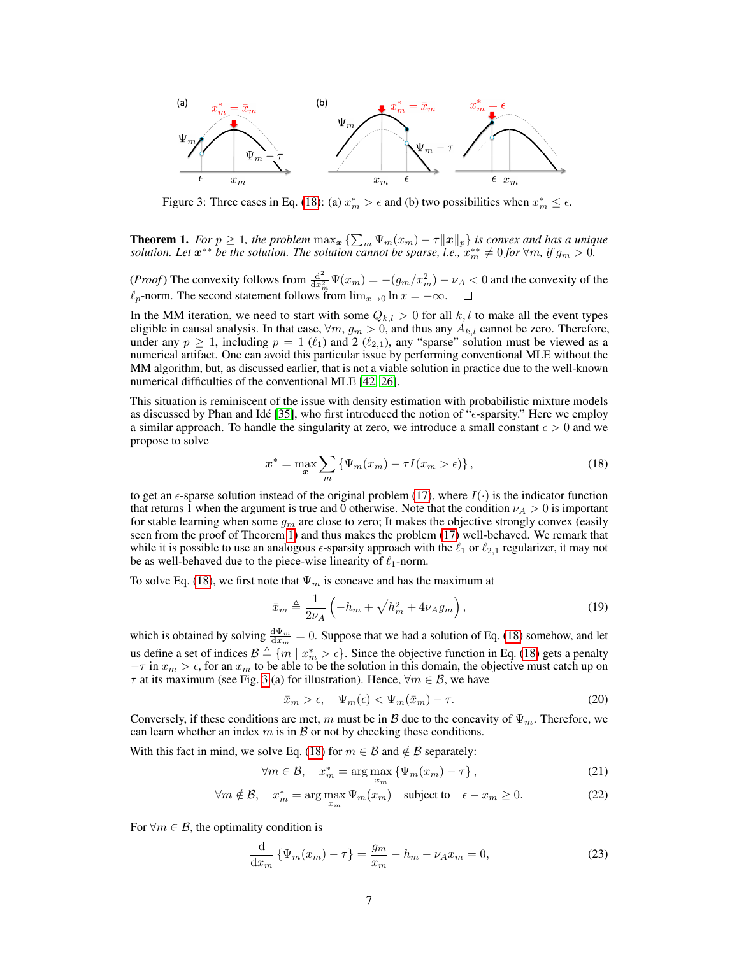

<span id="page-6-2"></span>Figure 3: Three cases in Eq. [\(18\)](#page-6-0): (a)  $x_m^* > \epsilon$  and (b) two possibilities when  $x_m^* \leq \epsilon$ .

<span id="page-6-1"></span>**Theorem 1.** *For*  $p \ge 1$ *, the problem*  $\max_{x} \{\sum_{m} \Psi_m(x_m) - \tau ||x||_p\}$  *is convex and has a unique solution. Let*  $x^{**}$  *be the solution. The solution cannot be sparse, i.e.,*  $x_m^{**} \neq 0$  *for*  $\forall m$ *, if*  $g_m > 0$ .

(*Proof*) The convexity follows from  $\frac{d^2}{dr^2}$  $\frac{d^2}{dx_m^2}\Psi(x_m) = -(g_m/x_m^2) - \nu_A < 0$  and the convexity of the  $\ell_p$ -norm. The second statement follows from  $\lim_{x\to 0} \ln x = -\infty$ .

In the MM iteration, we need to start with some  $Q_{k,l} > 0$  for all k, l to make all the event types eligible in causal analysis. In that case,  $\forall m, g_m > 0$ , and thus any  $A_{k,l}$  cannot be zero. Therefore, under any  $p \ge 1$ , including  $p = 1$  ( $\ell_1$ ) and 2 ( $\ell_{2,1}$ ), any "sparse" solution must be viewed as a numerical artifact. One can avoid this particular issue by performing conventional MLE without the MM algorithm, but, as discussed earlier, that is not a viable solution in practice due to the well-known numerical difficulties of the conventional MLE [\[42,](#page-12-3) [26\]](#page-11-10).

This situation is reminiscent of the issue with density estimation with probabilistic mixture models as discussed by Phan and Idé [\[35\]](#page-11-16), who first introduced the notion of " $\epsilon$ -sparsity." Here we employ a similar approach. To handle the singularity at zero, we introduce a small constant  $\epsilon > 0$  and we propose to solve

<span id="page-6-0"></span>
$$
\boldsymbol{x}^* = \max_{\boldsymbol{x}} \sum_{m} \left\{ \Psi_m(x_m) - \tau I(x_m > \epsilon) \right\},\tag{18}
$$

to get an  $\epsilon$ -sparse solution instead of the original problem [\(17\)](#page-5-6), where  $I(\cdot)$  is the indicator function that returns 1 when the argument is true and 0 otherwise. Note that the condition  $\nu_A > 0$  is important for stable learning when some  $g_m$  are close to zero; It makes the objective strongly convex (easily seen from the proof of Theorem [1\)](#page-6-1) and thus makes the problem [\(17\)](#page-5-6) well-behaved. We remark that while it is possible to use an analogous  $\epsilon$ -sparsity approach with the  $\ell_1$  or  $\ell_{2,1}$  regularizer, it may not be as well-behaved due to the piece-wise linearity of  $\ell_1$ -norm.

To solve Eq. [\(18\)](#page-6-0), we first note that  $\Psi_m$  is concave and has the maximum at

<span id="page-6-3"></span>
$$
\bar{x}_m \triangleq \frac{1}{2\nu_A} \left( -h_m + \sqrt{h_m^2 + 4\nu_A g_m} \right),\tag{19}
$$

which is obtained by solving  $\frac{d\Psi_m}{dx_m} = 0$ . Suppose that we had a solution of Eq. [\(18\)](#page-6-0) somehow, and let us define a set of indices  $B \triangleq \{m \mid x_m^* > \epsilon\}$ . Since the objective function in Eq. [\(18\)](#page-6-0) gets a penalty  $-\tau$  in  $x_m > \epsilon$ , for an  $x_m$  to be able to be the solution in this domain, the objective must catch up on  $\tau$  at its maximum (see Fig. [3](#page-6-2) (a) for illustration). Hence,  $\forall m \in \mathcal{B}$ , we have

<span id="page-6-4"></span>
$$
\bar{x}_m > \epsilon, \quad \Psi_m(\epsilon) < \Psi_m(\bar{x}_m) - \tau. \tag{20}
$$

Conversely, if these conditions are met, m must be in B due to the concavity of  $\Psi_m$ . Therefore, we can learn whether an index  $m$  is in  $\beta$  or not by checking these conditions.

With this fact in mind, we solve Eq. [\(18\)](#page-6-0) for  $m \in \mathcal{B}$  and  $\notin \mathcal{B}$  separately:

$$
\forall m \in \mathcal{B}, \quad x_m^* = \arg \max_{x_m} \{ \Psi_m(x_m) - \tau \}, \tag{21}
$$

$$
\forall m \notin \mathcal{B}, \quad x_m^* = \arg \max_{x_m} \Psi_m(x_m) \quad \text{subject to} \quad \epsilon - x_m \ge 0. \tag{22}
$$

For  $\forall m \in \mathcal{B}$ , the optimality condition is

$$
\frac{d}{dx_m} \left\{ \Psi_m(x_m) - \tau \right\} = \frac{g_m}{x_m} - h_m - \nu_A x_m = 0,
$$
\n(23)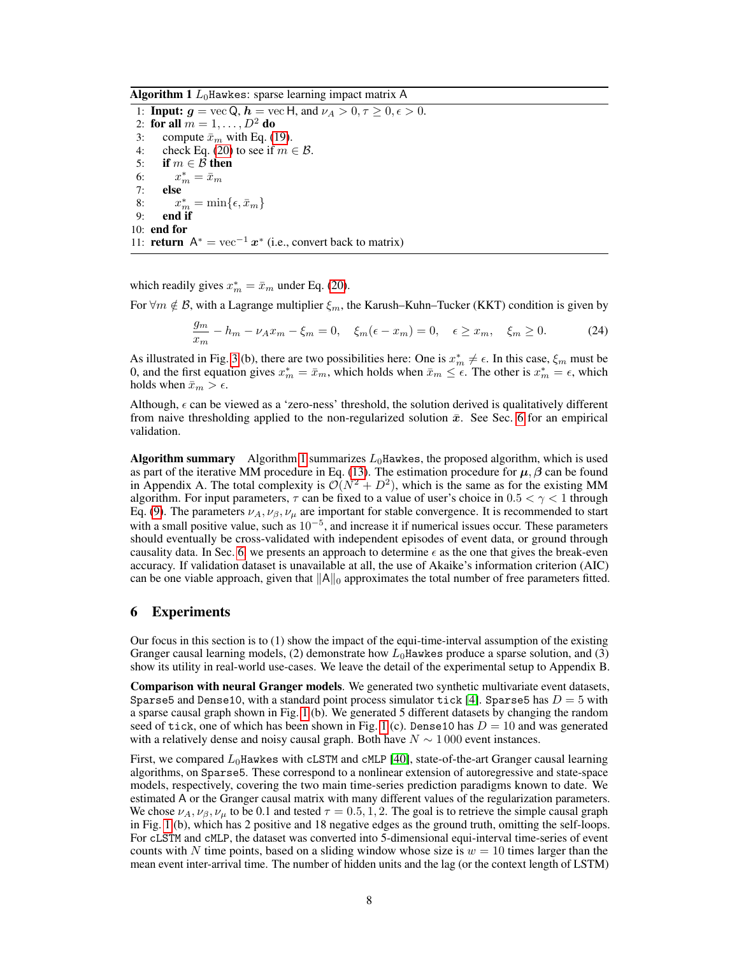Algorithm 1  $L_0$ Hawkes: sparse learning impact matrix A

<span id="page-7-1"></span>1: **Input:**  $g = \text{vec } Q$ ,  $h = \text{vec } H$ , and  $\nu_A > 0$ ,  $\tau \ge 0$ ,  $\epsilon > 0$ . 2: for all  $m = 1, \ldots, D^2$  do 3: compute  $\bar{x}_m$  with Eq. [\(19\)](#page-6-3).<br>4: check Eq. (20) to see if  $m \in$ check Eq. [\(20\)](#page-6-4) to see if  $m \in \mathcal{B}$ . 5: if  $m \in \mathcal{B}$  then 6:  $x_m^* = \bar{x}_m$ 7: else 8:  $x_m^* = \min\{\epsilon, \bar{x}_m\}$ 9: end if 10: end for 11: **return**  $A^* = \text{vec}^{-1} x^*$  (i.e., convert back to matrix)

which readily gives  $x_m^* = \bar{x}_m$  under Eq. [\(20\)](#page-6-4).

For  $\forall m \notin \mathcal{B}$ , with a Lagrange multiplier  $\xi_m$ , the Karush–Kuhn–Tucker (KKT) condition is given by

$$
\frac{g_m}{x_m} - h_m - \nu_A x_m - \xi_m = 0, \quad \xi_m(\epsilon - x_m) = 0, \quad \epsilon \ge x_m, \quad \xi_m \ge 0. \tag{24}
$$

As illustrated in Fig. [3](#page-6-2) (b), there are two possibilities here: One is  $x_m^* \neq \epsilon$ . In this case,  $\xi_m$  must be 0, and the first equation gives  $x_m^* = \bar{x}_m$ , which holds when  $\bar{x}_m \leq \epsilon$ . The other is  $x_m^* = \epsilon$ , which holds when  $\bar{x}_m > \epsilon$ .

Although,  $\epsilon$  can be viewed as a 'zero-ness' threshold, the solution derived is qualitatively different from naive thresholding applied to the non-regularized solution  $\bar{x}$ . See Sec. [6](#page-7-0) for an empirical validation.

Algorithm summary Algorithm [1](#page-7-1) summarizes  $L_0$ Hawkes, the proposed algorithm, which is used as part of the iterative MM procedure in Eq. [\(13\)](#page-5-4). The estimation procedure for  $\mu$ ,  $\beta$  can be found in Appendix A. The total complexity is  $\mathcal{O}(N^2 + D^2)$ , which is the same as for the existing MM algorithm. For input parameters,  $\tau$  can be fixed to a value of user's choice in 0.5  $\lt \gamma \lt 1$  through Eq. [\(9\)](#page-4-4). The parameters  $\nu_A, \nu_\beta, \nu_\mu$  are important for stable convergence. It is recommended to start with a small positive value, such as  $10^{-5}$ , and increase it if numerical issues occur. These parameters should eventually be cross-validated with independent episodes of event data, or ground through causality data. In Sec. [6,](#page-7-0) we presents an approach to determine  $\epsilon$  as the one that gives the break-even accuracy. If validation dataset is unavailable at all, the use of Akaike's information criterion (AIC) can be one viable approach, given that  $\|A\|_0$  approximates the total number of free parameters fitted.

## <span id="page-7-0"></span>6 Experiments

Our focus in this section is to (1) show the impact of the equi-time-interval assumption of the existing Granger causal learning models, (2) demonstrate how  $L_0$ Hawkes produce a sparse solution, and (3) show its utility in real-world use-cases. We leave the detail of the experimental setup to Appendix B.

Comparison with neural Granger models. We generated two synthetic multivariate event datasets, Sparse5 and Dense10, with a standard point process simulator tick [\[4\]](#page-10-17). Sparse5 has  $D = 5$  with a sparse causal graph shown in Fig. [1](#page-1-0) (b). We generated 5 different datasets by changing the random seed of tick, one of which has been shown in Fig. [1](#page-1-0) (c). Dense10 has  $D = 10$  and was generated with a relatively dense and noisy causal graph. Both have  $N \sim 1000$  event instances.

First, we compared  $L_0$ Hawkes with cLSTM and cMLP [\[40\]](#page-12-6), state-of-the-art Granger causal learning algorithms, on Sparse5. These correspond to a nonlinear extension of autoregressive and state-space models, respectively, covering the two main time-series prediction paradigms known to date. We estimated A or the Granger causal matrix with many different values of the regularization parameters. We chose  $\nu_A$ ,  $\nu_B$ ,  $\nu_\mu$  to be 0.1 and tested  $\tau = 0.5, 1, 2$ . The goal is to retrieve the simple causal graph in Fig. [1](#page-1-0) (b), which has 2 positive and 18 negative edges as the ground truth, omitting the self-loops. For cLSTM and cMLP, the dataset was converted into 5-dimensional equi-interval time-series of event counts with N time points, based on a sliding window whose size is  $w = 10$  times larger than the mean event inter-arrival time. The number of hidden units and the lag (or the context length of LSTM)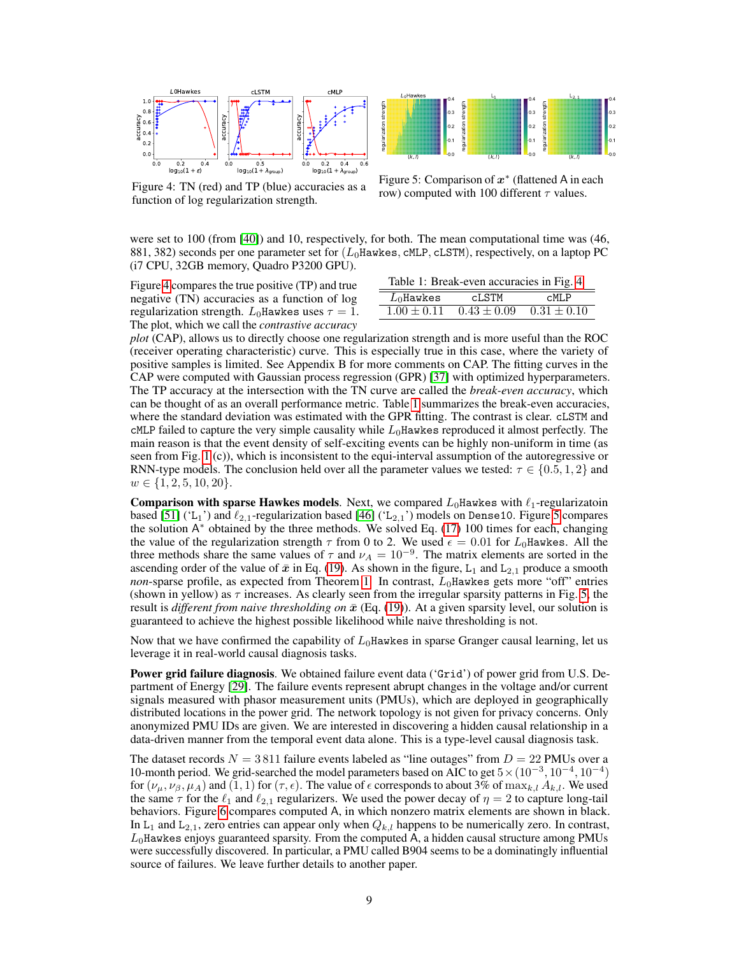

<span id="page-8-0"></span>Figure 4: TN (red) and TP (blue) accuracies as a function of log regularization strength.



<span id="page-8-2"></span>Figure 5: Comparison of  $x^*$  (flattened A in each row) computed with 100 different  $\tau$  values.

were set to 100 (from [\[40\]](#page-12-6)) and 10, respectively, for both. The mean computational time was (46, 881, 382) seconds per one parameter set for  $(L_0Hawkes, cMLP, cLSTM)$ , respectively, on a laptop PC (i7 CPU, 32GB memory, Quadro P3200 GPU).

Figure [4](#page-8-0) compares the true positive (TP) and true negative (TN) accuracies as a function of log regularization strength.  $L_0$ Hawkes uses  $\tau = 1$ . The plot, which we call the *contrastive accuracy*

<span id="page-8-1"></span>

| Table 1: Break-even accuracies in Fig. 4. |               |                 |
|-------------------------------------------|---------------|-----------------|
| $L_0$ Hawkes                              | cLSTM         | $c$ MLP         |
| $1.00 \pm 0.11$                           | $0.43\pm0.09$ | $0.31 \pm 0.10$ |

*plot* (CAP), allows us to directly choose one regularization strength and is more useful than the ROC (receiver operating characteristic) curve. This is especially true in this case, where the variety of positive samples is limited. See Appendix B for more comments on CAP. The fitting curves in the CAP were computed with Gaussian process regression (GPR) [\[37\]](#page-11-17) with optimized hyperparameters. The TP accuracy at the intersection with the TN curve are called the *break-even accuracy*, which can be thought of as an overall performance metric. Table [1](#page-8-1) summarizes the break-even accuracies, where the standard deviation was estimated with the GPR fitting. The contrast is clear. cLSTM and  $\text{cMLP}$  failed to capture the very simple causality while  $L_0$  Hawkes reproduced it almost perfectly. The main reason is that the event density of self-exciting events can be highly non-uniform in time (as seen from Fig. [1](#page-1-0) (c)), which is inconsistent to the equi-interval assumption of the autoregressive or RNN-type models. The conclusion held over all the parameter values we tested:  $\tau \in \{0.5, 1, 2\}$  and  $w \in \{1, 2, 5, 10, 20\}.$ 

**Comparison with sparse Hawkes models.** Next, we compared  $L_0$  Hawkes with  $\ell_1$ -regularizatoin based [\[51\]](#page-12-4) ('L<sub>1</sub>') and  $\ell_{2,1}$ -regularization based [\[46\]](#page-12-5) ('L<sub>2,1</sub>') models on Dense10. Figure [5](#page-8-2) compares the solution A<sup>\*</sup> obtained by the three methods. We solved Eq. [\(17\)](#page-5-6) 100 times for each, changing the value of the regularization strength  $\tau$  from 0 to 2. We used  $\epsilon = 0.01$  for  $L_0$ Hawkes. All the three methods share the same values of  $\tau$  and  $\nu_A = 10^{-9}$ . The matrix elements are sorted in the ascending order of the value of  $\bar{x}$  in Eq. [\(19\)](#page-6-3). As shown in the figure, L<sub>1</sub> and L<sub>2,1</sub> produce a smooth *non*-sparse profile, as expected from Theorem [1.](#page-6-1) In contrast,  $L_0$ Hawkes gets more "off" entries (shown in yellow) as  $\tau$  increases. As clearly seen from the irregular sparsity patterns in Fig. [5,](#page-8-2) the result is *different from naive thresholding on*  $\bar{x}$  (Eq. [\(19\)](#page-6-3)). At a given sparsity level, our solution is guaranteed to achieve the highest possible likelihood while naive thresholding is not.

Now that we have confirmed the capability of  $L_0$ Hawkes in sparse Granger causal learning, let us leverage it in real-world causal diagnosis tasks.

**Power grid failure diagnosis.** We obtained failure event data ('Grid') of power grid from U.S. Department of Energy [\[29\]](#page-11-18). The failure events represent abrupt changes in the voltage and/or current signals measured with phasor measurement units (PMUs), which are deployed in geographically distributed locations in the power grid. The network topology is not given for privacy concerns. Only anonymized PMU IDs are given. We are interested in discovering a hidden causal relationship in a data-driven manner from the temporal event data alone. This is a type-level causal diagnosis task.

The dataset records  $N = 3811$  failure events labeled as "line outages" from  $D = 22$  PMUs over a 10-month period. We grid-searched the model parameters based on AIC to get  $5 \times (10^{-3}, 10^{-4}, 10^{-4})$ for  $(\nu_\mu, \nu_\beta, \mu_A)$  and  $(1, 1)$  for  $(\tau, \epsilon)$ . The value of  $\epsilon$  corresponds to about 3% of  $\max_{k,l} A_{k,l}$ . We used the same  $\tau$  for the  $\ell_1$  and  $\ell_{2,1}$  regularizers. We used the power decay of  $\eta = 2$  to capture long-tail behaviors. Figure [6](#page-9-1) compares computed A, in which nonzero matrix elements are shown in black. In  $L_1$  and  $L_{2,1}$ , zero entries can appear only when  $Q_{k,l}$  happens to be numerically zero. In contrast,  $L_0$ Hawkes enjoys guaranteed sparsity. From the computed A, a hidden causal structure among PMUs were successfully discovered. In particular, a PMU called B904 seems to be a dominatingly influential source of failures. We leave further details to another paper.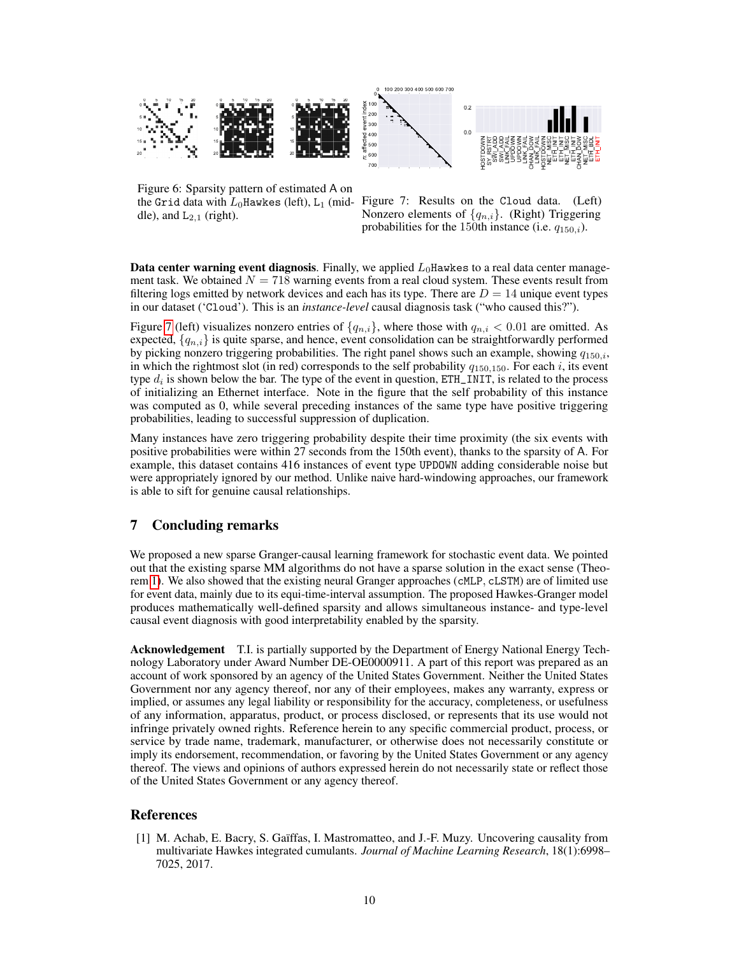

<span id="page-9-1"></span>Figure 6: Sparsity pattern of estimated A on the Grid data with  $L_0$ Hawkes (left), L<sub>1</sub> (middle), and  $L_{2,1}$  (right).

<span id="page-9-2"></span>Figure 7: Results on the Cloud data. (Left) Nonzero elements of  $\{q_{n,i}\}$ . (Right) Triggering probabilities for the 150th instance (i.e.  $q_{150,i}$ ).

**Data center warning event diagnosis.** Finally, we applied  $L_0$ Hawkes to a real data center management task. We obtained  $N = 718$  warning events from a real cloud system. These events result from filtering logs emitted by network devices and each has its type. There are  $D = 14$  unique event types in our dataset ('Cloud'). This is an *instance-level* causal diagnosis task ("who caused this?").

Figure [7](#page-9-2) (left) visualizes nonzero entries of  $\{q_{n,i}\}\$ , where those with  $q_{n,i} < 0.01$  are omitted. As expected,  $\{q_{n,i}\}\$  is quite sparse, and hence, event consolidation can be straightforwardly performed by picking nonzero triggering probabilities. The right panel shows such an example, showing  $q_{150,i}$ , in which the rightmost slot (in red) corresponds to the self probability  $q_{150,150}$ . For each i, its event type  $d_i$  is shown below the bar. The type of the event in question, ETH\_INIT, is related to the process of initializing an Ethernet interface. Note in the figure that the self probability of this instance was computed as 0, while several preceding instances of the same type have positive triggering probabilities, leading to successful suppression of duplication.

Many instances have zero triggering probability despite their time proximity (the six events with positive probabilities were within 27 seconds from the 150th event), thanks to the sparsity of A. For example, this dataset contains 416 instances of event type UPDOWN adding considerable noise but were appropriately ignored by our method. Unlike naive hard-windowing approaches, our framework is able to sift for genuine causal relationships.

# 7 Concluding remarks

We proposed a new sparse Granger-causal learning framework for stochastic event data. We pointed out that the existing sparse MM algorithms do not have a sparse solution in the exact sense (Theorem [1\)](#page-6-1). We also showed that the existing neural Granger approaches (cMLP, cLSTM) are of limited use for event data, mainly due to its equi-time-interval assumption. The proposed Hawkes-Granger model produces mathematically well-defined sparsity and allows simultaneous instance- and type-level causal event diagnosis with good interpretability enabled by the sparsity.

Acknowledgement T.I. is partially supported by the Department of Energy National Energy Technology Laboratory under Award Number DE-OE0000911. A part of this report was prepared as an account of work sponsored by an agency of the United States Government. Neither the United States Government nor any agency thereof, nor any of their employees, makes any warranty, express or implied, or assumes any legal liability or responsibility for the accuracy, completeness, or usefulness of any information, apparatus, product, or process disclosed, or represents that its use would not infringe privately owned rights. Reference herein to any specific commercial product, process, or service by trade name, trademark, manufacturer, or otherwise does not necessarily constitute or imply its endorsement, recommendation, or favoring by the United States Government or any agency thereof. The views and opinions of authors expressed herein do not necessarily state or reflect those of the United States Government or any agency thereof.

## References

<span id="page-9-0"></span>[1] M. Achab, E. Bacry, S. Gaïffas, I. Mastromatteo, and J.-F. Muzy. Uncovering causality from multivariate Hawkes integrated cumulants. *Journal of Machine Learning Research*, 18(1):6998– 7025, 2017.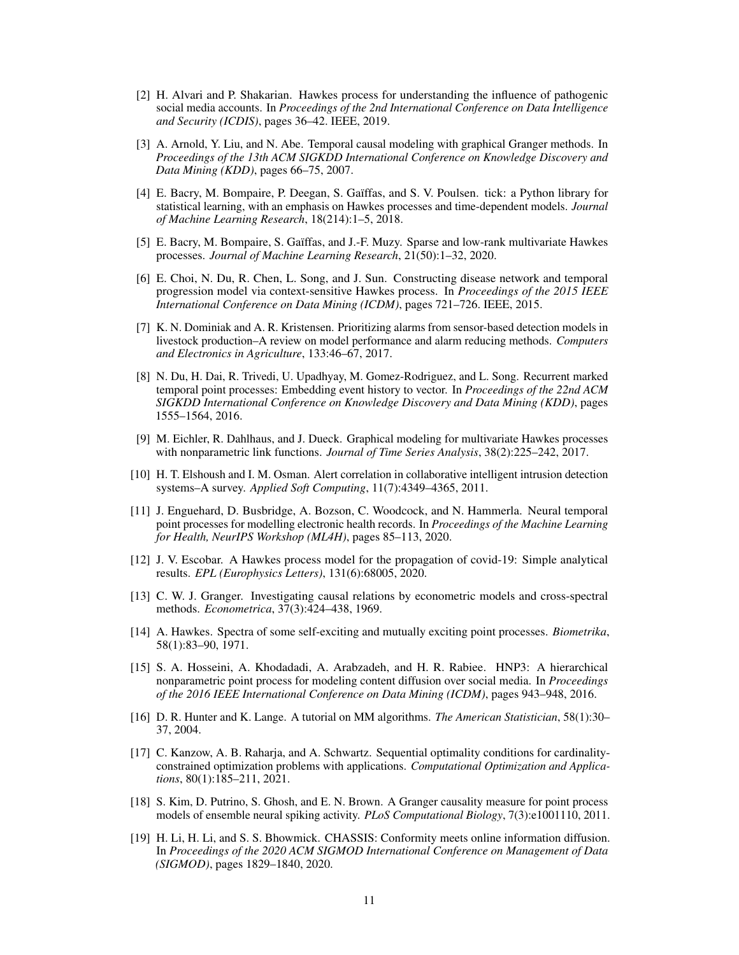- <span id="page-10-2"></span>[2] H. Alvari and P. Shakarian. Hawkes process for understanding the influence of pathogenic social media accounts. In *Proceedings of the 2nd International Conference on Data Intelligence and Security (ICDIS)*, pages 36–42. IEEE, 2019.
- <span id="page-10-9"></span>[3] A. Arnold, Y. Liu, and N. Abe. Temporal causal modeling with graphical Granger methods. In *Proceedings of the 13th ACM SIGKDD International Conference on Knowledge Discovery and Data Mining (KDD)*, pages 66–75, 2007.
- <span id="page-10-17"></span>[4] E. Bacry, M. Bompaire, P. Deegan, S. Gaïffas, and S. V. Poulsen. tick: a Python library for statistical learning, with an emphasis on Hawkes processes and time-dependent models. *Journal of Machine Learning Research*, 18(214):1–5, 2018.
- <span id="page-10-11"></span>[5] E. Bacry, M. Bompaire, S. Gaïffas, and J.-F. Muzy. Sparse and low-rank multivariate Hawkes processes. *Journal of Machine Learning Research*, 21(50):1–32, 2020.
- <span id="page-10-3"></span>[6] E. Choi, N. Du, R. Chen, L. Song, and J. Sun. Constructing disease network and temporal progression model via context-sensitive Hawkes process. In *Proceedings of the 2015 IEEE International Conference on Data Mining (ICDM)*, pages 721–726. IEEE, 2015.
- <span id="page-10-16"></span>[7] K. N. Dominiak and A. R. Kristensen. Prioritizing alarms from sensor-based detection models in livestock production–A review on model performance and alarm reducing methods. *Computers and Electronics in Agriculture*, 133:46–67, 2017.
- <span id="page-10-12"></span>[8] N. Du, H. Dai, R. Trivedi, U. Upadhyay, M. Gomez-Rodriguez, and L. Song. Recurrent marked temporal point processes: Embedding event history to vector. In *Proceedings of the 22nd ACM SIGKDD International Conference on Knowledge Discovery and Data Mining (KDD)*, pages 1555–1564, 2016.
- <span id="page-10-7"></span>[9] M. Eichler, R. Dahlhaus, and J. Dueck. Graphical modeling for multivariate Hawkes processes with nonparametric link functions. *Journal of Time Series Analysis*, 38(2):225–242, 2017.
- <span id="page-10-15"></span>[10] H. T. Elshoush and I. M. Osman. Alert correlation in collaborative intelligent intrusion detection systems–A survey. *Applied Soft Computing*, 11(7):4349–4365, 2011.
- <span id="page-10-13"></span>[11] J. Enguehard, D. Busbridge, A. Bozson, C. Woodcock, and N. Hammerla. Neural temporal point processes for modelling electronic health records. In *Proceedings of the Machine Learning for Health, NeurIPS Workshop (ML4H)*, pages 85–113, 2020.
- <span id="page-10-4"></span>[12] J. V. Escobar. A Hawkes process model for the propagation of covid-19: Simple analytical results. *EPL (Europhysics Letters)*, 131(6):68005, 2020.
- <span id="page-10-8"></span>[13] C. W. J. Granger. Investigating causal relations by econometric models and cross-spectral methods. *Econometrica*, 37(3):424–438, 1969.
- <span id="page-10-0"></span>[14] A. Hawkes. Spectra of some self-exciting and mutually exciting point processes. *Biometrika*, 58(1):83–90, 1971.
- <span id="page-10-1"></span>[15] S. A. Hosseini, A. Khodadadi, A. Arabzadeh, and H. R. Rabiee. HNP3: A hierarchical nonparametric point process for modeling content diffusion over social media. In *Proceedings of the 2016 IEEE International Conference on Data Mining (ICDM)*, pages 943–948, 2016.
- <span id="page-10-5"></span>[16] D. R. Hunter and K. Lange. A tutorial on MM algorithms. *The American Statistician*, 58(1):30– 37, 2004.
- <span id="page-10-10"></span>[17] C. Kanzow, A. B. Raharja, and A. Schwartz. Sequential optimality conditions for cardinalityconstrained optimization problems with applications. *Computational Optimization and Applications*, 80(1):185–211, 2021.
- <span id="page-10-6"></span>[18] S. Kim, D. Putrino, S. Ghosh, and E. N. Brown. A Granger causality measure for point process models of ensemble neural spiking activity. *PLoS Computational Biology*, 7(3):e1001110, 2011.
- <span id="page-10-14"></span>[19] H. Li, H. Li, and S. S. Bhowmick. CHASSIS: Conformity meets online information diffusion. In *Proceedings of the 2020 ACM SIGMOD International Conference on Management of Data (SIGMOD)*, pages 1829–1840, 2020.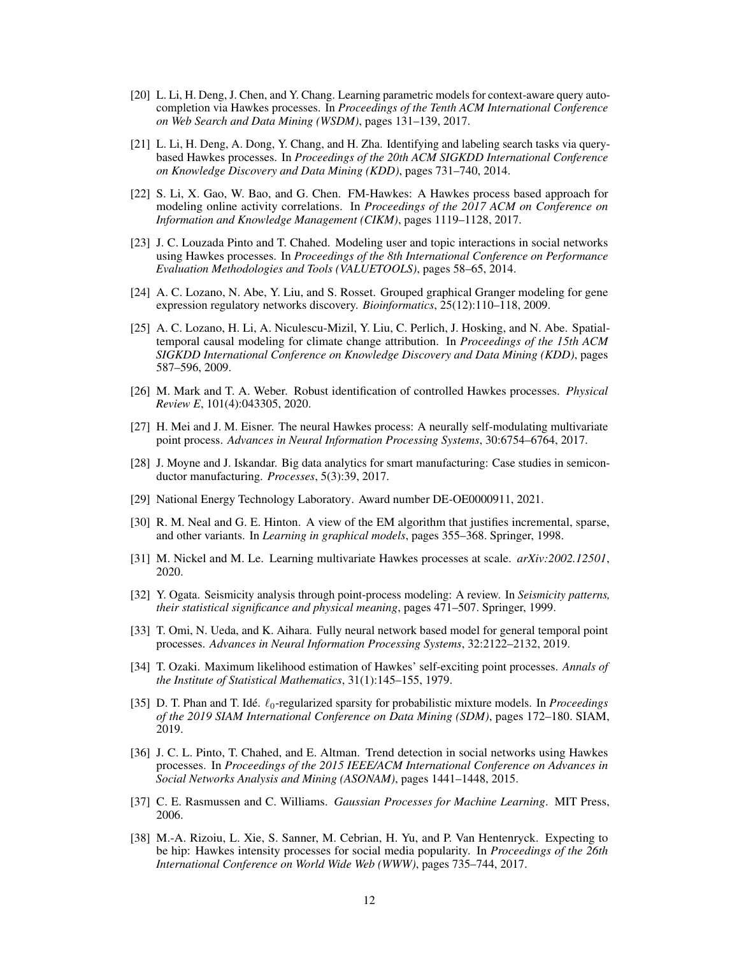- <span id="page-11-5"></span>[20] L. Li, H. Deng, J. Chen, and Y. Chang. Learning parametric models for context-aware query autocompletion via Hawkes processes. In *Proceedings of the Tenth ACM International Conference on Web Search and Data Mining (WSDM)*, pages 131–139, 2017.
- <span id="page-11-4"></span>[21] L. Li, H. Deng, A. Dong, Y. Chang, and H. Zha. Identifying and labeling search tasks via querybased Hawkes processes. In *Proceedings of the 20th ACM SIGKDD International Conference on Knowledge Discovery and Data Mining (KDD)*, pages 731–740, 2014.
- <span id="page-11-3"></span>[22] S. Li, X. Gao, W. Bao, and G. Chen. FM-Hawkes: A Hawkes process based approach for modeling online activity correlations. In *Proceedings of the 2017 ACM on Conference on Information and Knowledge Management (CIKM)*, pages 1119–1128, 2017.
- <span id="page-11-0"></span>[23] J. C. Louzada Pinto and T. Chahed. Modeling user and topic interactions in social networks using Hawkes processes. In *Proceedings of the 8th International Conference on Performance Evaluation Methodologies and Tools (VALUETOOLS)*, pages 58–65, 2014.
- <span id="page-11-6"></span>[24] A. C. Lozano, N. Abe, Y. Liu, and S. Rosset. Grouped graphical Granger modeling for gene expression regulatory networks discovery. *Bioinformatics*, 25(12):110–118, 2009.
- <span id="page-11-7"></span>[25] A. C. Lozano, H. Li, A. Niculescu-Mizil, Y. Liu, C. Perlich, J. Hosking, and N. Abe. Spatialtemporal causal modeling for climate change attribution. In *Proceedings of the 15th ACM SIGKDD International Conference on Knowledge Discovery and Data Mining (KDD)*, pages 587–596, 2009.
- <span id="page-11-10"></span>[26] M. Mark and T. A. Weber. Robust identification of controlled Hawkes processes. *Physical Review E*, 101(4):043305, 2020.
- <span id="page-11-12"></span>[27] H. Mei and J. M. Eisner. The neural Hawkes process: A neurally self-modulating multivariate point process. *Advances in Neural Information Processing Systems*, 30:6754–6764, 2017.
- <span id="page-11-14"></span>[28] J. Moyne and J. Iskandar. Big data analytics for smart manufacturing: Case studies in semiconductor manufacturing. *Processes*, 5(3):39, 2017.
- <span id="page-11-18"></span>[29] National Energy Technology Laboratory. Award number DE-OE0000911, 2021.
- <span id="page-11-15"></span>[30] R. M. Neal and G. E. Hinton. A view of the EM algorithm that justifies incremental, sparse, and other variants. In *Learning in graphical models*, pages 355–368. Springer, 1998.
- <span id="page-11-11"></span>[31] M. Nickel and M. Le. Learning multivariate Hawkes processes at scale. *arXiv:2002.12501*, 2020.
- <span id="page-11-9"></span>[32] Y. Ogata. Seismicity analysis through point-process modeling: A review. In *Seismicity patterns, their statistical significance and physical meaning*, pages 471–507. Springer, 1999.
- <span id="page-11-13"></span>[33] T. Omi, N. Ueda, and K. Aihara. Fully neural network based model for general temporal point processes. *Advances in Neural Information Processing Systems*, 32:2122–2132, 2019.
- <span id="page-11-8"></span>[34] T. Ozaki. Maximum likelihood estimation of Hawkes' self-exciting point processes. *Annals of the Institute of Statistical Mathematics*, 31(1):145–155, 1979.
- <span id="page-11-16"></span>[35] D. T. Phan and T. Idé.  $\ell_0$ -regularized sparsity for probabilistic mixture models. In *Proceedings of the 2019 SIAM International Conference on Data Mining (SDM)*, pages 172–180. SIAM, 2019.
- <span id="page-11-1"></span>[36] J. C. L. Pinto, T. Chahed, and E. Altman. Trend detection in social networks using Hawkes processes. In *Proceedings of the 2015 IEEE/ACM International Conference on Advances in Social Networks Analysis and Mining (ASONAM)*, pages 1441–1448, 2015.
- <span id="page-11-17"></span>[37] C. E. Rasmussen and C. Williams. *Gaussian Processes for Machine Learning*. MIT Press, 2006.
- <span id="page-11-2"></span>[38] M.-A. Rizoiu, L. Xie, S. Sanner, M. Cebrian, H. Yu, and P. Van Hentenryck. Expecting to be hip: Hawkes intensity processes for social media popularity. In *Proceedings of the 26th International Conference on World Wide Web (WWW)*, pages 735–744, 2017.